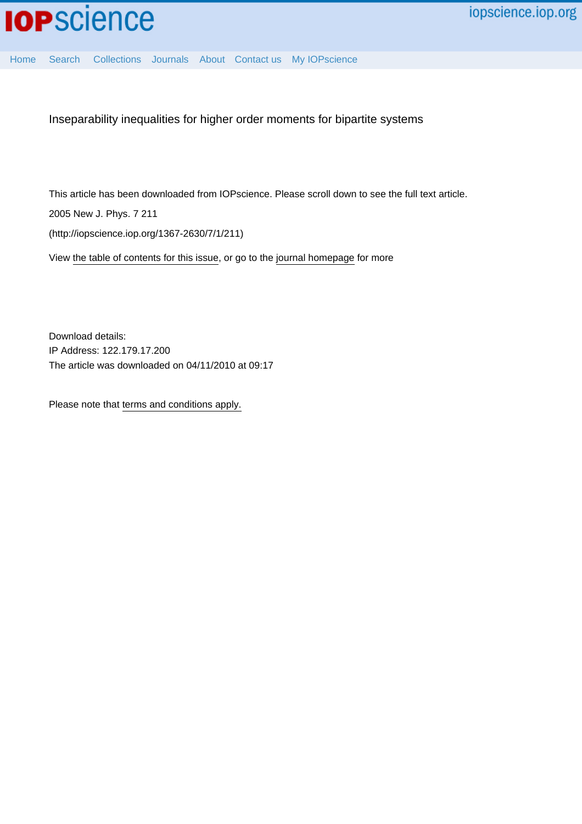

[Home](http://iopscience.iop.org/) [Search](http://iopscience.iop.org/search) [Collections](http://iopscience.iop.org/collections) [Journals](http://iopscience.iop.org/journals) [About](http://iopscience.iop.org/page/aboutioppublishing) [Contact us](http://iopscience.iop.org/contact) [My IOPscience](http://iopscience.iop.org/myiopscience)

Inseparability inequalities for higher order moments for bipartite systems

This article has been downloaded from IOPscience. Please scroll down to see the full text article.

2005 New J. Phys. 7 211

(http://iopscience.iop.org/1367-2630/7/1/211)

View [the table of contents for this issue](http://iopscience.iop.org/1367-2630/7/1), or go to the [journal homepage](http://iopscience.iop.org/1367-2630) for more

Download details: IP Address: 122.179.17.200 The article was downloaded on 04/11/2010 at 09:17

Please note that [terms and conditions apply.](http://iopscience.iop.org/page/terms)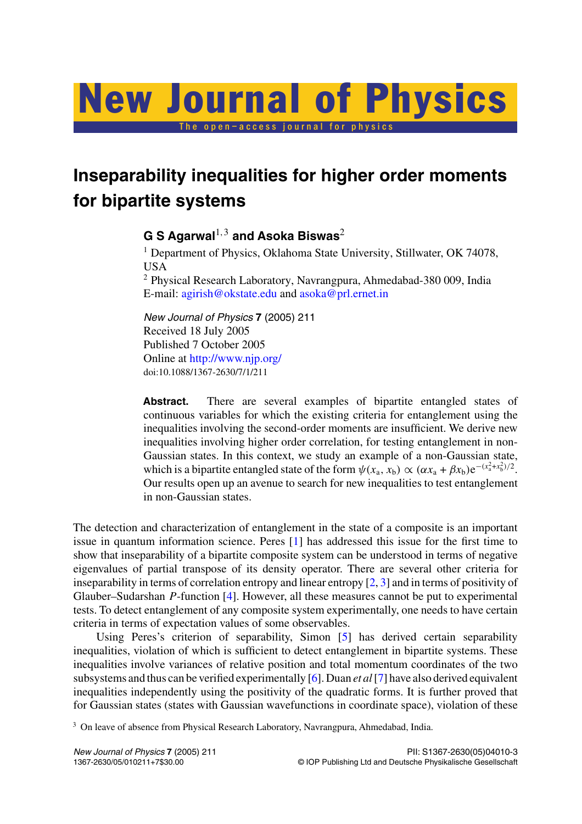# The open–access journal for physics New Journal of Physics

**Inseparability inequalities for higher order moments for bipartite systems**

# **G S Agarwal**1*,*<sup>3</sup> **and Asoka Biswas**<sup>2</sup>

<sup>1</sup> Department of Physics, Oklahoma State University, Stillwater, OK 74078, USA

<sup>2</sup> Physical Research Laboratory, Navrangpura, Ahmedabad-380 009, India E-mail: [agirish@okstate.edu](mailto:agirish@okstate.edu) and [asoka@prl.ernet.in](mailto:asoka@prl.ernet.in)

*New Journal of Physics* **7** (2005) 211 Received 18 July 2005 Published 7 October 2005 Online at <http://www.njp.org/> doi:10.1088/1367-2630/7/1/211

**Abstract.** There are several examples of bipartite entangled states of continuous variables for which the existing criteria for entanglement using the inequalities involving the second-order moments are insufficient. We derive new inequalities involving higher order correlation, for testing entanglement in non-Gaussian states. In this context, we study an example of a non-Gaussian state, which is a bipartite entangled state of the form  $\psi(x_a, x_b) \propto (\alpha x_a + \beta x_b) e^{-(x_a^2 + x_b^2)/2}$ . Our results open up an avenue to search for new inequalities to test entanglement in non-Gaussian states.

The detection and characterization of entanglement in the state of a composite is an important issue in quantum information science. Peres [[1\]](#page-6-0) has addressed this issue for the first time to show that inseparability of a bipartite composite system can be understood in terms of negative eigenvalues of partial transpose of its density operator. There are several other criteria for inseparability in terms of correlation entropy and linear entropy [[2,](#page-6-0) [3\]](#page-6-0) and in terms of positivity of Glauber–Sudarshan *P*-function [[4\]](#page-6-0). However, all these measures cannot be put to experimental tests. To detect entanglement of any composite system experimentally, one needs to have certain criteria in terms of expectation values of some observables.

Using Peres's criterion of separability, Simon [[5\]](#page-6-0) has derived certain separability inequalities, violation of which is sufficient to detect entanglement in bipartite systems. These inequalities involve variances of relative position and total momentum coordinates of the two subsystems and thus can be verified experimentally [[6\]](#page-6-0). Duan *et al*[\[7](#page-6-0)] have also derived equivalent inequalities independently using the positivity of the quadratic forms. It is further proved that for Gaussian states (states with Gaussian wavefunctions in coordinate space), violation of these

<sup>3</sup> On leave of absence from Physical Research Laboratory, Navrangpura, Ahmedabad, India.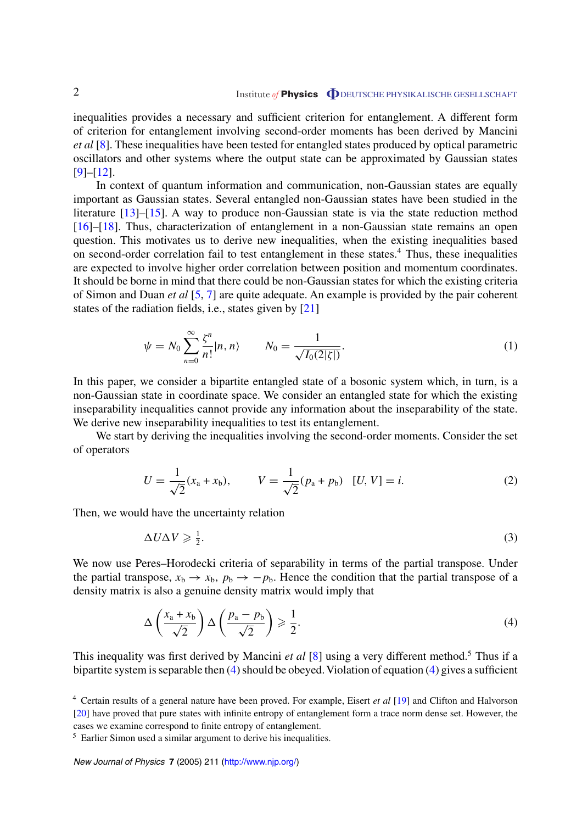<span id="page-2-0"></span>inequalities provides a necessary and sufficient criterion for entanglement. A different form of criterion for entanglement involving second-order moments has been derived by Mancini *et al* [\[8](#page-6-0)]. These inequalities have been tested for entangled states produced by optical parametric oscillators and other systems where the output state can be approximated by Gaussian states [[9\]](#page-6-0)–[[12\]](#page-6-0).

In context of quantum information and communication, non-Gaussian states are equally important as Gaussian states. Several entangled non-Gaussian states have been studied in the literature [[13\]](#page-6-0)–[[15\]](#page-6-0). A way to produce non-Gaussian state is via the state reduction method [[16\]](#page-6-0)–[[18\]](#page-6-0). Thus, characterization of entanglement in a non-Gaussian state remains an open question. This motivates us to derive new inequalities, when the existing inequalities based on second-order correlation fail to test entanglement in these states.<sup>4</sup> Thus, these inequalities are expected to involve higher order correlation between position and momentum coordinates. It should be borne in mind that there could be non-Gaussian states for which the existing criteria of Simon and Duan *et al* [\[5](#page-6-0), [7](#page-6-0)] are quite adequate. An example is provided by the pair coherent states of the radiation fields, i.e., states given by [[21\]](#page-6-0)

$$
\psi = N_0 \sum_{n=0}^{\infty} \frac{\zeta^n}{n!} |n, n\rangle \qquad N_0 = \frac{1}{\sqrt{I_0(2|\zeta|)}}.
$$
\n(1)

In this paper, we consider a bipartite entangled state of a bosonic system which, in turn, is a non-Gaussian state in coordinate space. We consider an entangled state for which the existing inseparability inequalities cannot provide any information about the inseparability of the state. We derive new inseparability inequalities to test its entanglement.

We start by deriving the inequalities involving the second-order moments. Consider the set of operators

$$
U = \frac{1}{\sqrt{2}}(x_a + x_b), \qquad V = \frac{1}{\sqrt{2}}(p_a + p_b) \quad [U, V] = i.
$$
 (2)

Then, we would have the uncertainty relation

$$
\Delta U \Delta V \ge \frac{1}{2}.\tag{3}
$$

We now use Peres–Horodecki criteria of separability in terms of the partial transpose. Under the partial transpose,  $x_b \rightarrow x_b$ ,  $p_b \rightarrow -p_b$ . Hence the condition that the partial transpose of a density matrix is also a genuine density matrix would imply that

$$
\Delta\left(\frac{x_a + x_b}{\sqrt{2}}\right) \Delta\left(\frac{p_a - p_b}{\sqrt{2}}\right) \geqslant \frac{1}{2}.\tag{4}
$$

This inequality was first derived by Mancini *et al* [[8\]](#page-6-0) using a very different method.<sup>5</sup> Thus if a bipartite system is separable then  $(4)$  should be obeyed. Violation of equation  $(4)$  gives a sufficient

<sup>4</sup> Certain results of a general nature have been proved. For example, Eisert *et al* [[19\]](#page-6-0) and Clifton and Halvorson [\[20](#page-6-0)] have proved that pure states with infinite entropy of entanglement form a trace norm dense set. However, the cases we examine correspond to finite entropy of entanglement.

<sup>5</sup> Earlier Simon used a similar argument to derive his inequalities.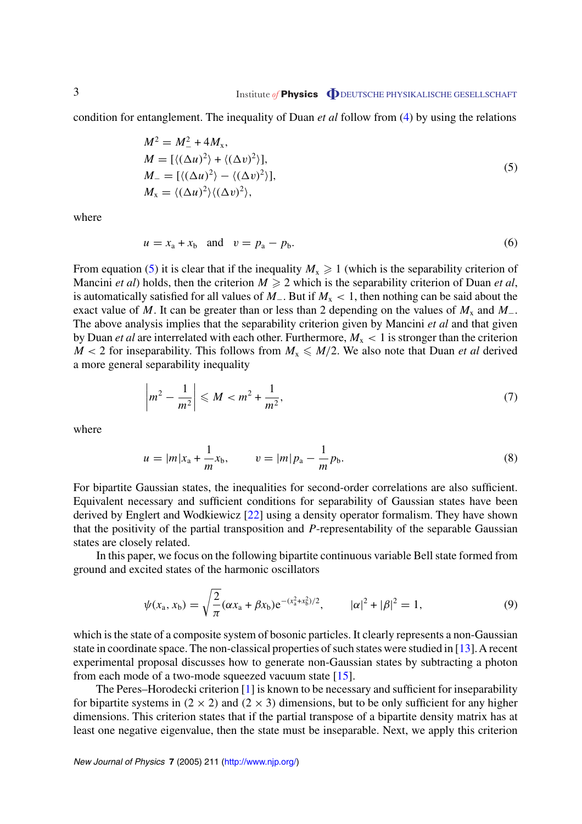<span id="page-3-0"></span>condition for entanglement. The inequality of Duan *et al* follow from [\(4](#page-2-0)) by using the relations

$$
M^{2} = M_{-}^{2} + 4M_{x},
$$
  
\n
$$
M = [\langle (\Delta u)^{2} \rangle + \langle (\Delta v)^{2} \rangle],
$$
  
\n
$$
M_{-} = [\langle (\Delta u)^{2} \rangle - \langle (\Delta v)^{2} \rangle],
$$
  
\n
$$
M_{x} = \langle (\Delta u)^{2} \rangle \langle (\Delta v)^{2} \rangle,
$$
\n(5)

where

$$
u = xa + xb \quad \text{and} \quad v = pa - pb.
$$
 (6)

From equation (5) it is clear that if the inequality  $M_x \ge 1$  (which is the separability criterion of Mancini *et al*) holds, then the criterion  $M \ge 2$  which is the separability criterion of Duan *et al*, is automatically satisfied for all values of *M*−. But if *M*<sup>x</sup> *<* 1, then nothing can be said about the exact value of *M*. It can be greater than or less than 2 depending on the values of  $M_x$  and  $M_{-}$ . The above analysis implies that the separability criterion given by Mancini *et al* and that given by Duan *et al* are interrelated with each other. Furthermore,  $M_x < 1$  is stronger than the criterion  $M < 2$  for inseparability. This follows from  $M_x \le M/2$ . We also note that Duan *et al* derived a more general separability inequality

$$
\left| m^2 - \frac{1}{m^2} \right| \leqslant M < m^2 + \frac{1}{m^2},\tag{7}
$$

where

$$
u = |m|x_{a} + \frac{1}{m}x_{b}, \qquad v = |m|p_{a} - \frac{1}{m}p_{b}.
$$
\n(8)

For bipartite Gaussian states, the inequalities for second-order correlations are also sufficient. Equivalent necessary and sufficient conditions for separability of Gaussian states have been derived by Englert and Wodkiewicz [\[22](#page-7-0)] using a density operator formalism. They have shown that the positivity of the partial transposition and *P*-representability of the separable Gaussian states are closely related.

In this paper, we focus on the following bipartite continuous variable Bell state formed from ground and excited states of the harmonic oscillators

$$
\psi(x_a, x_b) = \sqrt{\frac{2}{\pi}} (\alpha x_a + \beta x_b) e^{-(x_a^2 + x_b^2)/2}, \qquad |\alpha|^2 + |\beta|^2 = 1,\tag{9}
$$

which is the state of a composite system of bosonic particles. It clearly represents a non-Gaussian state in coordinate space. The non-classical properties of such states were studied in [\[13](#page-6-0)]. A recent experimental proposal discusses how to generate non-Gaussian states by subtracting a photon from each mode of a two-mode squeezed vacuum state [\[15](#page-6-0)].

The Peres–Horodecki criterion [[1\]](#page-6-0) is known to be necessary and sufficient for inseparability for bipartite systems in  $(2 \times 2)$  and  $(2 \times 3)$  dimensions, but to be only sufficient for any higher dimensions. This criterion states that if the partial transpose of a bipartite density matrix has at least one negative eigenvalue, then the state must be inseparable. Next, we apply this criterion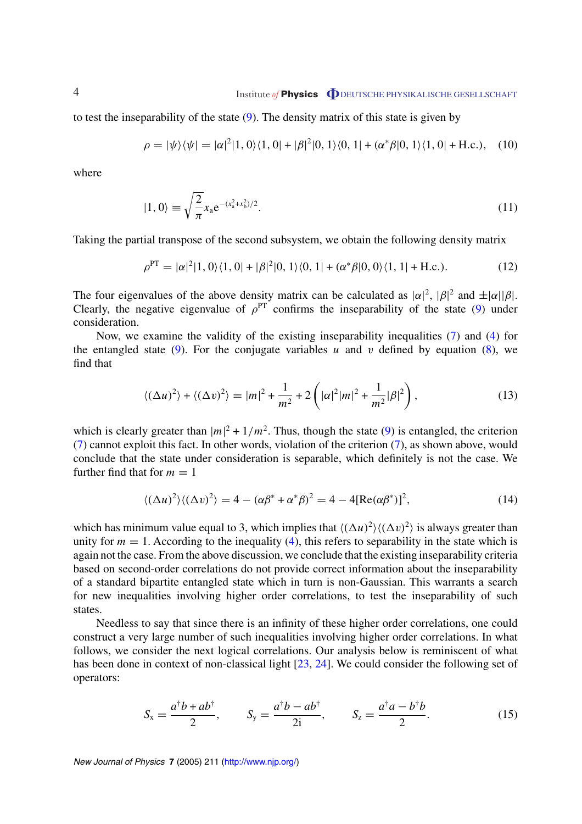to test the inseparability of the state  $(9)$  $(9)$ . The density matrix of this state is given by

$$
\rho = |\psi\rangle\langle\psi| = |\alpha|^2 |1, 0\rangle\langle1, 0| + |\beta|^2 |0, 1\rangle\langle0, 1| + (\alpha^* \beta |0, 1\rangle\langle1, 0| + \text{H.c.}), \quad (10)
$$

where

$$
|1,0\rangle \equiv \sqrt{\frac{2}{\pi}} x_a e^{-(x_a^2 + x_b^2)/2}.
$$
 (11)

Taking the partial transpose of the second subsystem, we obtain the following density matrix

$$
\rho^{\rm PT} = |\alpha|^2 |1, 0\rangle\langle 1, 0| + |\beta|^2 |0, 1\rangle\langle 0, 1| + (\alpha^* \beta |0, 0\rangle\langle 1, 1| + \text{H.c.}). \tag{12}
$$

The four eigenvalues of the above density matrix can be calculated as  $|\alpha|^2$ ,  $|\beta|^2$  and  $\pm |\alpha||\beta|$ . Clearly, the negative eigenvalue of  $\rho^{\text{PT}}$  confirms the inseparability of the state [\(9](#page-3-0)) under consideration.

Now, we examine the validity of the existing inseparability inequalities ([7\)](#page-3-0) and ([4\)](#page-2-0) for the entangled state  $(9)$ . For the conjugate variables *u* and *v* defined by equation  $(8)$  $(8)$ , we find that

$$
\langle (\Delta u)^2 \rangle + \langle (\Delta v)^2 \rangle = |m|^2 + \frac{1}{m^2} + 2\left(|\alpha|^2 |m|^2 + \frac{1}{m^2}|\beta|^2\right),\tag{13}
$$

which is clearly greater than  $|m|^2 + 1/m^2$ . Thus, though the state ([9\)](#page-3-0) is entangled, the criterion ([7\)](#page-3-0) cannot exploit this fact. In other words, violation of the criterion [\(7](#page-3-0)), as shown above, would conclude that the state under consideration is separable, which definitely is not the case. We further find that for  $m = 1$ 

$$
\langle (\Delta u)^2 \rangle \langle (\Delta v)^2 \rangle = 4 - (\alpha \beta^* + \alpha^* \beta)^2 = 4 - 4[\text{Re}(\alpha \beta^*)]^2,\tag{14}
$$

which has minimum value equal to 3, which implies that  $\langle (\Delta u)^2 \rangle \langle (\Delta v)^2 \rangle$  is always greater than unity for  $m = 1$ . According to the inequality [\(4](#page-2-0)), this refers to separability in the state which is again not the case. From the above discussion, we conclude that the existing inseparability criteria based on second-order correlations do not provide correct information about the inseparability of a standard bipartite entangled state which in turn is non-Gaussian. This warrants a search for new inequalities involving higher order correlations, to test the inseparability of such states.

Needless to say that since there is an infinity of these higher order correlations, one could construct a very large number of such inequalities involving higher order correlations. In what follows, we consider the next logical correlations. Our analysis below is reminiscent of what has been done in context of non-classical light [\[23](#page-7-0), [24](#page-7-0)]. We could consider the following set of operators:

$$
S_{x} = \frac{a^{\dagger}b + ab^{\dagger}}{2}, \qquad S_{y} = \frac{a^{\dagger}b - ab^{\dagger}}{2i}, \qquad S_{z} = \frac{a^{\dagger}a - b^{\dagger}b}{2}.
$$
 (15)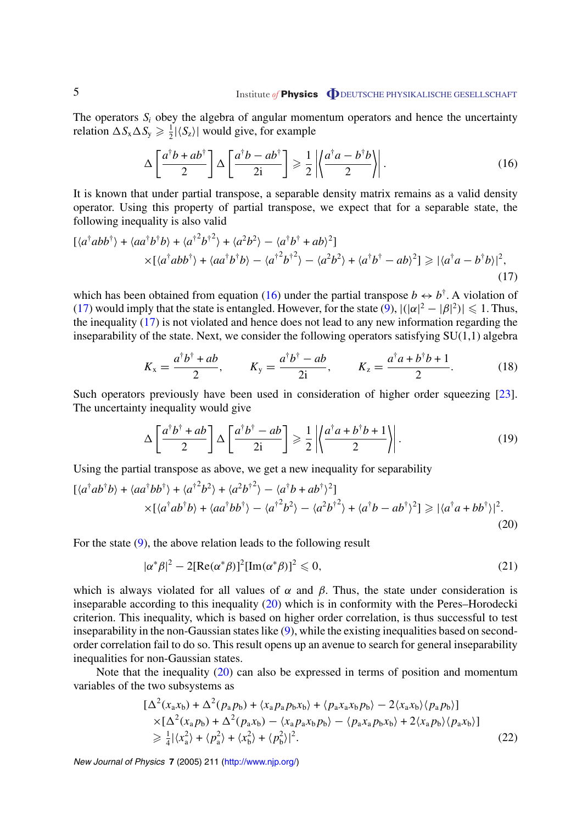### <span id="page-5-0"></span>5 Institute *of* **Physics O** DEUTSCHE PHYSIKALISCHE GESELLSCHAFT

The operators  $S_i$  obey the algebra of angular momentum operators and hence the uncertainty relation  $\Delta S_x \Delta S_y \ge \frac{1}{2} |\langle S_z \rangle|$  would give, for example

$$
\Delta \left[ \frac{a^{\dagger}b + ab^{\dagger}}{2} \right] \Delta \left[ \frac{a^{\dagger}b - ab^{\dagger}}{2i} \right] \geqslant \frac{1}{2} \left| \left\langle \frac{a^{\dagger}a - b^{\dagger}b}{2} \right\rangle \right|.
$$
 (16)

It is known that under partial transpose, a separable density matrix remains as a valid density operator. Using this property of partial transpose, we expect that for a separable state, the following inequality is also valid

$$
[\langle a^{\dagger}abb^{\dagger}\rangle + \langle aa^{\dagger}b^{\dagger}b\rangle + \langle a^{\dagger}^{2}b^{\dagger}^{2}\rangle + \langle a^{2}b^{2}\rangle - \langle a^{\dagger}b^{\dagger} + ab\rangle^{2}]
$$
  
 
$$
\times [\langle a^{\dagger}abb^{\dagger}\rangle + \langle aa^{\dagger}b^{\dagger}b\rangle - \langle a^{\dagger}^{2}b^{\dagger}^{2}\rangle - \langle a^{2}b^{2}\rangle + \langle a^{\dagger}b^{\dagger} - ab\rangle^{2}] \ge |\langle a^{\dagger}a - b^{\dagger}b\rangle|^{2},
$$
 (17)

which has been obtained from equation (16) under the partial transpose  $b \leftrightarrow b^{\dagger}$ . A violation of (17) would imply that the state is entangled. However, for the state  $(9)$  $(9)$ ,  $|(|\alpha|^2 - |\beta|^2)| \le 1$ . Thus, the inequality (17) is not violated and hence does not lead to any new information regarding the inseparability of the state. Next, we consider the following operators satisfying SU(1,1) algebra

$$
K_x = \frac{a^{\dagger}b^{\dagger} + ab}{2}
$$
,  $K_y = \frac{a^{\dagger}b^{\dagger} - ab}{2i}$ ,  $K_z = \frac{a^{\dagger}a + b^{\dagger}b + 1}{2}$ . (18)

Such operators previously have been used in consideration of higher order squeezing [\[23](#page-7-0)]. The uncertainty inequality would give

$$
\Delta \left[ \frac{a^{\dagger}b^{\dagger} + ab}{2} \right] \Delta \left[ \frac{a^{\dagger}b^{\dagger} - ab}{2i} \right] \geq \frac{1}{2} \left| \left\langle \frac{a^{\dagger}a + b^{\dagger}b + 1}{2} \right\rangle \right|.
$$
 (19)

Using the partial transpose as above, we get a new inequality for separability

$$
[\langle a^{\dagger}ab^{\dagger}b\rangle + \langle aa^{\dagger}bb^{\dagger}\rangle + \langle a^{\dagger}^{2}b^{2}\rangle + \langle a^{2}b^{\dagger}^{2}\rangle - \langle a^{\dagger}b + ab^{\dagger}\rangle^{2}]
$$
  
 
$$
\times [\langle a^{\dagger}ab^{\dagger}b\rangle + \langle aa^{\dagger}bb^{\dagger}\rangle - \langle a^{\dagger}^{2}b^{2}\rangle - \langle a^{2}b^{\dagger}^{2}\rangle + \langle a^{\dagger}b - ab^{\dagger}\rangle^{2}] \ge |\langle a^{\dagger}a + bb^{\dagger}\rangle|^{2}.
$$
 (20)

For the state ([9\)](#page-3-0), the above relation leads to the following result

$$
|\alpha^* \beta|^2 - 2[\text{Re}(\alpha^* \beta)]^2 [\text{Im}(\alpha^* \beta)]^2 \leq 0,
$$
\n(21)

which is always violated for all values of  $\alpha$  and  $\beta$ . Thus, the state under consideration is inseparable according to this inequality (20) which is in conformity with the Peres–Horodecki criterion. This inequality, which is based on higher order correlation, is thus successful to test inseparability in the non-Gaussian states like ([9\)](#page-3-0), while the existing inequalities based on secondorder correlation fail to do so. This result opens up an avenue to search for general inseparability inequalities for non-Gaussian states.

Note that the inequality (20) can also be expressed in terms of position and momentum variables of the two subsystems as

$$
\begin{split} \left[\Delta^{2}(x_{a}x_{b}) + \Delta^{2}(p_{a}p_{b}) + \langle x_{a}p_{a}p_{b}x_{b} \rangle + \langle p_{a}x_{a}x_{b}p_{b} \rangle - 2\langle x_{a}x_{b} \rangle \langle p_{a}p_{b} \rangle \right] \\ \times \left[\Delta^{2}(x_{a}p_{b}) + \Delta^{2}(p_{a}x_{b}) - \langle x_{a}p_{a}x_{b}p_{b} \rangle - \langle p_{a}x_{a}p_{b}x_{b} \rangle + 2\langle x_{a}p_{b} \rangle \langle p_{a}x_{b} \rangle \right] \\ \geq \frac{1}{4}|\langle x_{a}^{2} \rangle + \langle p_{a}^{2} \rangle + \langle x_{b}^{2} \rangle + \langle p_{b}^{2} \rangle|^{2}. \end{split} \tag{22}
$$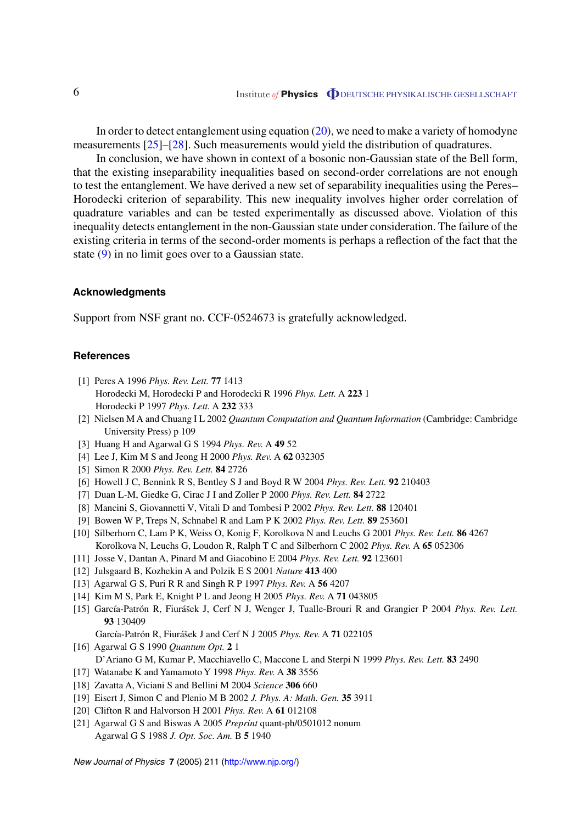<span id="page-6-0"></span>In order to detect entanglement using equation [\(20](#page-5-0)), we need to make a variety of homodyne measurements [\[25](#page-7-0)]–[\[28](#page-7-0)]. Such measurements would yield the distribution of quadratures.

In conclusion, we have shown in context of a bosonic non-Gaussian state of the Bell form, that the existing inseparability inequalities based on second-order correlations are not enough to test the entanglement. We have derived a new set of separability inequalities using the Peres– Horodecki criterion of separability. This new inequality involves higher order correlation of quadrature variables and can be tested experimentally as discussed above. Violation of this inequality detects entanglement in the non-Gaussian state under consideration. The failure of the existing criteria in terms of the second-order moments is perhaps a reflection of the fact that the state ([9\)](#page-3-0) in no limit goes over to a Gaussian state.

#### **Acknowledgments**

Support from NSF grant no. CCF-0524673 is gratefully acknowledged.

#### **References**

- [1] Peres A 1996 *Phys. Rev. Lett.* **77** 1413 Horodecki M, Horodecki P and Horodecki R 1996 *Phys. Lett.* A **223** 1 Horodecki P 1997 *Phys. Lett.* A **232** 333
- [2] Nielsen M A and Chuang I L 2002 *Quantum Computation and Quantum Information* (Cambridge: Cambridge University Press) p 109
- [3] Huang H and Agarwal G S 1994 *Phys. Rev.* A **49** 52
- [4] Lee J, Kim M S and Jeong H 2000 *Phys. Rev.* A **62** 032305
- [5] Simon R 2000 *Phys. Rev. Lett.* **84** 2726
- [6] Howell J C, Bennink R S, Bentley S J and Boyd R W 2004 *Phys. Rev. Lett.* **92** 210403
- [7] Duan L-M, Giedke G, Cirac J I and Zoller P 2000 *Phys. Rev. Lett.* **84** 2722
- [8] Mancini S, Giovannetti V, Vitali D and Tombesi P 2002 *Phys. Rev. Lett.* **88** 120401
- [9] Bowen W P, Treps N, Schnabel R and Lam P K 2002 *Phys. Rev. Lett.* **89** 253601
- [10] Silberhorn C, Lam P K, Weiss O, Konig F, Korolkova N and Leuchs G 2001 *Phys. Rev. Lett.* **86** 4267 Korolkova N, Leuchs G, Loudon R, Ralph T C and Silberhorn C 2002 *Phys. Rev.* A **65** 052306
- [11] Josse V, Dantan A, Pinard M and Giacobino E 2004 *Phys. Rev. Lett.* **92** 123601
- [12] Julsgaard B, Kozhekin A and Polzik E S 2001 *Nature* **413** 400
- [13] Agarwal G S, Puri R R and Singh R P 1997 *Phys. Rev.* A **56** 4207
- [14] Kim M S, Park E, Knight P L and Jeong H 2005 *Phys. Rev.* A **71** 043805
- [15] García-Patrón R, Fiurášek J, Cerf N J, Wenger J, Tualle-Brouri R and Grangier P 2004 *Phys. Rev. Lett.* **93** 130409
	- García-Patrón R, Fiurášek J and Cerf N J 2005 Phys. Rev. A 71 022105
- [16] Agarwal G S 1990 *Quantum Opt.* **2** 1 D'Ariano G M, Kumar P, Macchiavello C, Maccone L and Sterpi N 1999 *Phys. Rev. Lett.* **83** 2490
- [17] Watanabe K and Yamamoto Y 1998 *Phys. Rev.* A **38** 3556
- [18] Zavatta A, Viciani S and Bellini M 2004 *Science* **306** 660
- [19] Eisert J, Simon C and Plenio M B 2002 *J. Phys. A: Math. Gen.* **35** 3911
- [20] Clifton R and Halvorson H 2001 *Phys. Rev.* A **61** 012108
- [21] Agarwal G S and Biswas A 2005 *Preprint* quant-ph/0501012 nonum Agarwal G S 1988 *J. Opt. Soc. Am.* B **5** 1940